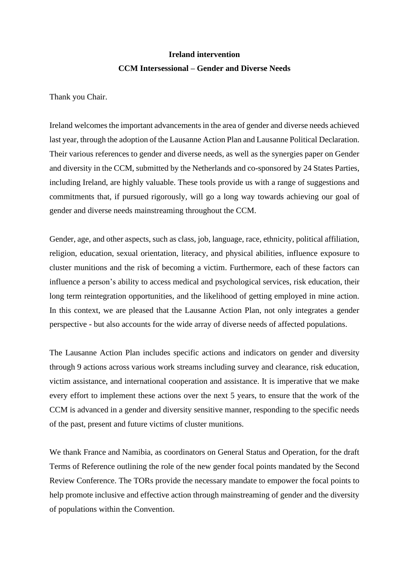## **Ireland intervention CCM Intersessional – Gender and Diverse Needs**

Thank you Chair.

Ireland welcomes the important advancements in the area of gender and diverse needs achieved last year, through the adoption of the Lausanne Action Plan and Lausanne Political Declaration. Their various references to gender and diverse needs, as well as the synergies paper on Gender and diversity in the CCM, submitted by the Netherlands and co-sponsored by 24 States Parties, including Ireland, are highly valuable. These tools provide us with a range of suggestions and commitments that, if pursued rigorously, will go a long way towards achieving our goal of gender and diverse needs mainstreaming throughout the CCM.

Gender, age, and other aspects, such as class, job, language, race, ethnicity, political affiliation, religion, education, sexual orientation, literacy, and physical abilities, influence exposure to cluster munitions and the risk of becoming a victim. Furthermore, each of these factors can influence a person's ability to access medical and psychological services, risk education, their long term reintegration opportunities, and the likelihood of getting employed in mine action. In this context, we are pleased that the Lausanne Action Plan, not only integrates a gender perspective - but also accounts for the wide array of diverse needs of affected populations.

The Lausanne Action Plan includes specific actions and indicators on gender and diversity through 9 actions across various work streams including survey and clearance, risk education, victim assistance, and international cooperation and assistance. It is imperative that we make every effort to implement these actions over the next 5 years, to ensure that the work of the CCM is advanced in a gender and diversity sensitive manner, responding to the specific needs of the past, present and future victims of cluster munitions.

We thank France and Namibia, as coordinators on General Status and Operation, for the draft Terms of Reference outlining the role of the new gender focal points mandated by the Second Review Conference. The TORs provide the necessary mandate to empower the focal points to help promote inclusive and effective action through mainstreaming of gender and the diversity of populations within the Convention.